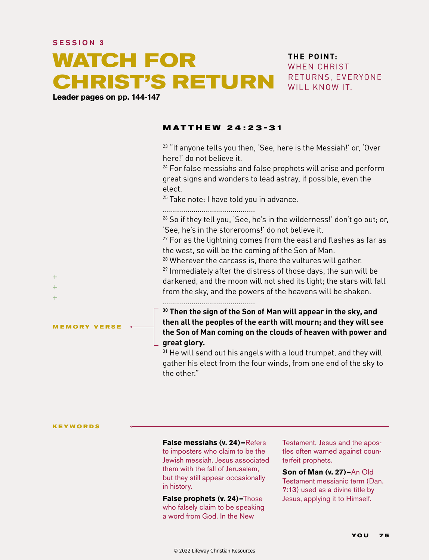# **WATCH FOR CHRIST'S RETURN**

**Leader pages on pp. 144-147**

## **THE POINT:** WHEN CHRIST RETURNS, EVERYONE WILL KNOW IT.

#### **MATTHEW 24 :23-31**

 $23$  "If anyone tells you then, 'See, here is the Messiah!' or, 'Over here!' do not believe it.

<sup>24</sup> For false messiahs and false prophets will arise and perform great signs and wonders to lead astray, if possible, even the elect.

 $25$  Take note: I have told you in advance.

.............................................

 $26$  So if they tell you, 'See, he's in the wilderness!' don't go out; or, 'See, he's in the storerooms!' do not believe it.

 $27$  For as the lightning comes from the east and flashes as far as the west, so will be the coming of the Son of Man.

 $28$  Wherever the carcass is, there the vultures will gather.

 $29$  Immediately after the distress of those days, the sun will be darkened, and the moon will not shed its light; the stars will fall from the sky, and the powers of the heavens will be shaken.

.............................................

**30 Then the sign of the Son of Man will appear in the sky, and then all the peoples of the earth will mourn; and they will see the Son of Man coming on the clouds of heaven with power and great glory.**

<sup>31</sup> He will send out his angels with a loud trumpet, and they will gather his elect from the four winds, from one end of the sky to the other."

**KEYWORDS**

**MEMORY VERSE**

 $\ddot{}$  $\ddot{}$  $\ddot{}$ 

> **False messiahs (v. 24)—**Refers to imposters who claim to be the Jewish messiah. Jesus associated them with the fall of Jerusalem, but they still appear occasionally in history.

**False prophets (v. 24)—**Those who falsely claim to be speaking a word from God. In the New

Testament, Jesus and the apostles often warned against counterfeit prophets.

**Son of Man (v. 27)—**An Old Testament messianic term (Dan. 7:13) used as a divine title by Jesus, applying it to Himself.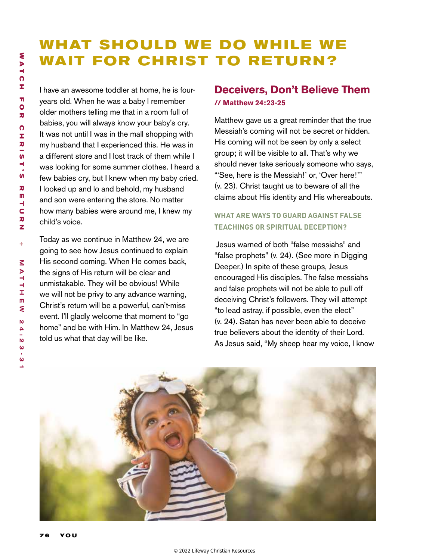# WHAT SHOULD WE DO WHILE WE **WAIT FOR CHRIST TO RETURN?**

I have an awesome toddler at home, he is fouryears old. When he was a baby I remember older mothers telling me that in a room full of babies, you will always know your baby's cry. It was not until I was in the mall shopping with my husband that I experienced this. He was in a different store and I lost track of them while I was looking for some summer clothes. I heard a few babies cry, but I knew when my baby cried. I looked up and lo and behold, my husband and son were entering the store. No matter how many babies were around me, I knew my child's voice.

Today as we continue in Matthew 24, we are going to see how Jesus continued to explain His second coming. When He comes back, the signs of His return will be clear and unmistakable. They will be obvious! While we will not be privy to any advance warning, Christ's return will be a powerful, can't-miss event. I'll gladly welcome that moment to "go home" and be with Him. In Matthew 24, Jesus told us what that day will be like.

# **Deceivers, Don't Believe Them // Matthew 24:23-25**

Matthew gave us a great reminder that the true Messiah's coming will not be secret or hidden. His coming will not be seen by only a select group; it will be visible to all. That's why we should never take seriously someone who says, "'See, here is the Messiah!' or, 'Over here!'" (v. 23). Christ taught us to beware of all the claims about His identity and His whereabouts.

# **WHAT ARE WAYS TO GUARD AGAINST FALSE TEACHINGS OR SPIRITUAL DECEPTION?**

Jesus warned of both "false messiahs" and "false prophets" (v. 24). (See more in Digging Deeper.) In spite of these groups, Jesus encouraged His disciples. The false messiahs and false prophets will not be able to pull off deceiving Christ's followers. They will attempt "to lead astray, if possible, even the elect" (v. 24). Satan has never been able to deceive true believers about the identity of their Lord. As Jesus said, "My sheep hear my voice, I know

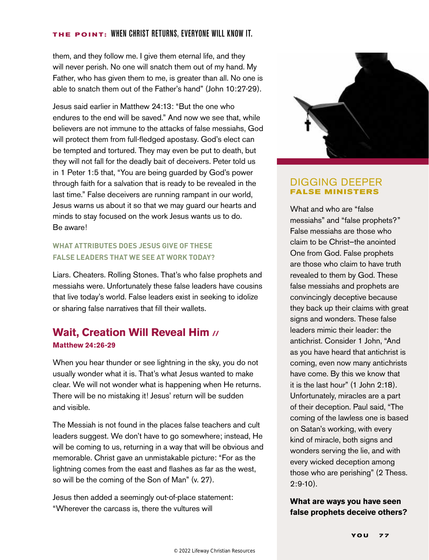#### **THE POINT:** When christ returns, everyone will know it.

them, and they follow me. I give them eternal life, and they will never perish. No one will snatch them out of my hand. My Father, who has given them to me, is greater than all. No one is able to snatch them out of the Father's hand" (John 10:27-29).

Jesus said earlier in Matthew 24:13: "But the one who endures to the end will be saved." And now we see that, while believers are not immune to the attacks of false messiahs, God will protect them from full-fledged apostasy. God's elect can be tempted and tortured. They may even be put to death, but they will not fall for the deadly bait of deceivers. Peter told us in 1 Peter 1:5 that, "You are being guarded by God's power through faith for a salvation that is ready to be revealed in the last time." False deceivers are running rampant in our world, Jesus warns us about it so that we may guard our hearts and minds to stay focused on the work Jesus wants us to do. Be aware!

### **WHAT ATTRIBUTES DOES JESUS GIVE OF THESE FALSE LEADERS THAT WE SEE AT WORK TODAY?**

Liars. Cheaters. Rolling Stones. That's who false prophets and messiahs were. Unfortunately these false leaders have cousins that live today's world. False leaders exist in seeking to idolize or sharing false narratives that fill their wallets.

# **Wait, Creation Will Reveal Him // Matthew 24:26-29**

When you hear thunder or see lightning in the sky, you do not usually wonder what it is. That's what Jesus wanted to make clear. We will not wonder what is happening when He returns. There will be no mistaking it! Jesus' return will be sudden and visible.

The Messiah is not found in the places false teachers and cult leaders suggest. We don't have to go somewhere; instead, He will be coming to us, returning in a way that will be obvious and memorable. Christ gave an unmistakable picture: "For as the lightning comes from the east and flashes as far as the west, so will be the coming of the Son of Man" (v. 27).

Jesus then added a seemingly out-of-place statement: "Wherever the carcass is, there the vultures will



### DIGGING DEEPER **FALSE MINISTERS**

What and who are "false messiahs" and "false prophets?" False messiahs are those who claim to be Christ—the anointed One from God. False prophets are those who claim to have truth revealed to them by God. These false messiahs and prophets are convincingly deceptive because they back up their claims with great signs and wonders. These false leaders mimic their leader: the antichrist. Consider 1 John, "And as you have heard that antichrist is coming, even now many antichrists have come. By this we know that it is the last hour" (1 John 2:18). Unfortunately, miracles are a part of their deception. Paul said, "The coming of the lawless one is based on Satan's working, with every kind of miracle, both signs and wonders serving the lie, and with every wicked deception among those who are perishing" (2 Thess. 2:9-10).

#### **What are ways you have seen false prophets deceive others?**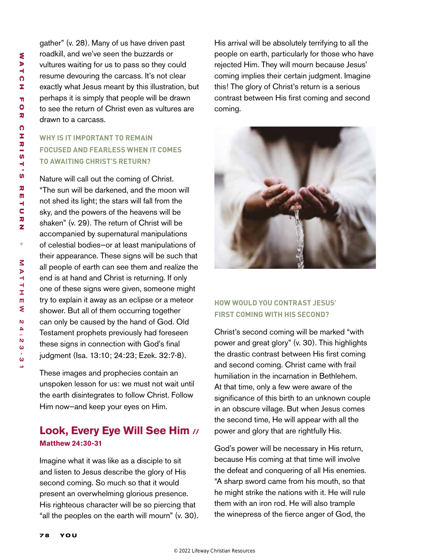gather" (v. 28). Many of us have driven past roadkill, and we've seen the buzzards or vultures waiting for us to pass so they could resume devouring the carcass. It's not clear exactly what Jesus meant by this illustration, but perhaps it is simply that people will be drawn to see the return of Christ even as vultures are drawn to a carcass.

# **WHY IS IT IMPORTANT TO REMAIN FOCUSED AND FEARLESS WHEN IT COMES TO AWAITING CHRIST'S RETURN?**

Nature will call out the coming of Christ. "The sun will be darkened, and the moon will not shed its light; the stars will fall from the sky, and the powers of the heavens will be shaken" (v. 29). The return of Christ will be accompanied by supernatural manipulations of celestial bodies—or at least manipulations of their appearance. These signs will be such that all people of earth can see them and realize the end is at hand and Christ is returning. If only one of these signs were given, someone might try to explain it away as an eclipse or a meteor shower. But all of them occurring together can only be caused by the hand of God. Old Testament prophets previously had foreseen these signs in connection with God's final judgment (Isa. 13:10; 24:23; Ezek. 32:7-8).

These images and prophecies contain an unspoken lesson for us: we must not wait until the earth disintegrates to follow Christ. Follow Him now—and keep your eyes on Him.

# **Look, Every Eye Will See Him // Matthew 24:30-31**

Imagine what it was like as a disciple to sit and listen to Jesus describe the glory of His second coming. So much so that it would present an overwhelming glorious presence. His righteous character will be so piercing that "all the peoples on the earth will mourn" (v. 30). His arrival will be absolutely terrifying to all the people on earth, particularly for those who have rejected Him. They will mourn because Jesus' coming implies their certain judgment. Imagine this! The glory of Christ's return is a serious contrast between His first coming and second coming.



# **HOW WOULD YOU CONTRAST JESUS' FIRST COMING WITH HIS SECOND?**

Christ's second coming will be marked "with power and great glory" (v. 30). This highlights the drastic contrast between His first coming and second coming. Christ came with frail humiliation in the incarnation in Bethlehem. At that time, only a few were aware of the significance of this birth to an unknown couple in an obscure village. But when Jesus comes the second time, He will appear with all the power and glory that are rightfully His.

God's power will be necessary in His return, because His coming at that time will involve the defeat and conquering of all His enemies. "A sharp sword came from his mouth, so that he might strike the nations with it. He will rule them with an iron rod. He will also trample the winepress of the fierce anger of God, the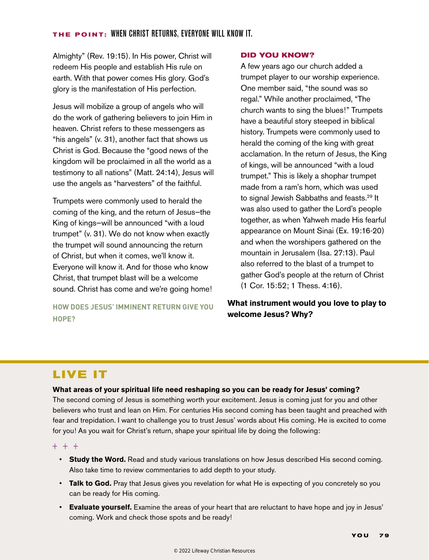#### **THE POINT:** When christ returns, everyone will know it.

Almighty" (Rev. 19:15). In His power, Christ will redeem His people and establish His rule on earth. With that power comes His glory. God's glory is the manifestation of His perfection.

Jesus will mobilize a group of angels who will do the work of gathering believers to join Him in heaven. Christ refers to these messengers as "his angels" (v. 31), another fact that shows us Christ is God. Because the "good news of the kingdom will be proclaimed in all the world as a testimony to all nations" (Matt. 24:14), Jesus will use the angels as "harvesters" of the faithful.

Trumpets were commonly used to herald the coming of the king, and the return of Jesus—the King of kings—will be announced "with a loud trumpet" (v. 31). We do not know when exactly the trumpet will sound announcing the return of Christ, but when it comes, we'll know it. Everyone will know it. And for those who know Christ, that trumpet blast will be a welcome sound. Christ has come and we're going home!

**HOW DOES JESUS' IMMINENT RETURN GIVE YOU HOPE?**

#### **DID YOU KNOW?**

A few years ago our church added a trumpet player to our worship experience. One member said, "the sound was so regal." While another proclaimed, "The church wants to sing the blues!" Trumpets have a beautiful story steeped in biblical history. Trumpets were commonly used to herald the coming of the king with great acclamation. In the return of Jesus, the King of kings, will be announced "with a loud trumpet." This is likely a shophar trumpet made from a ram's horn, which was used to signal Jewish Sabbaths and feasts.<sup>29</sup> It was also used to gather the Lord's people together, as when Yahweh made His fearful appearance on Mount Sinai (Ex. 19:16-20) and when the worshipers gathered on the mountain in Jerusalem (Isa. 27:13). Paul also referred to the blast of a trumpet to gather God's people at the return of Christ (1 Cor. 15:52; 1 Thess. 4:16).

# **What instrument would you love to play to welcome Jesus? Why?**

# **LIVE IT**

#### **What areas of your spiritual life need reshaping so you can be ready for Jesus' coming?**

The second coming of Jesus is something worth your excitement. Jesus is coming just for you and other believers who trust and lean on Him. For centuries His second coming has been taught and preached with fear and trepidation. I want to challenge you to trust Jesus' words about His coming. He is excited to come for you! As you wait for Christ's return, shape your spiritual life by doing the following:

 $+ + +$ 

- **Study the Word.** Read and study various translations on how Jesus described His second coming. Also take time to review commentaries to add depth to your study.
- **Talk to God.** Pray that Jesus gives you revelation for what He is expecting of you concretely so you can be ready for His coming.
- **Evaluate yourself.** Examine the areas of your heart that are reluctant to have hope and joy in Jesus' coming. Work and check those spots and be ready!